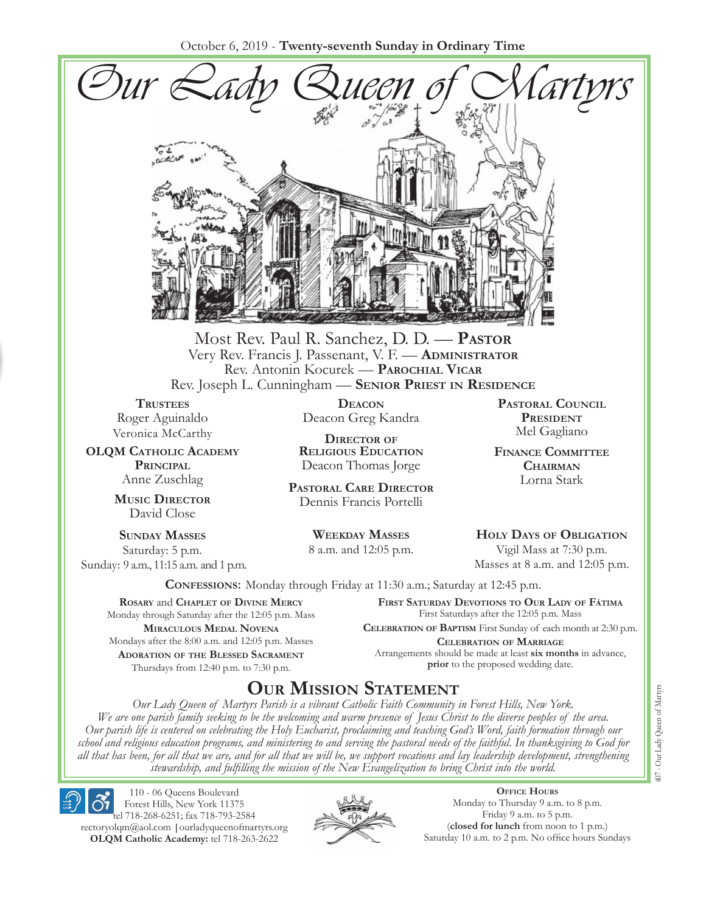October 6, 2019 - **Twenty-seventh Sunday in Ordinary Time**



Most Rev. Paul R. Sanchez, D. D. — **Pastor** Very Rev. Francis J. Passenant, V. F. — **Administrator** Rev. Antonin Kocurek — **Parochial Vicar** Rev. Joseph L. Cunningham — **Senior Priest in Residence**

**TRUSTEES** Roger Aguinaldo Veronica McCarthy

**OLQM Catholic Academy Principal** Anne Zuschlag

> **Music Director** David Close

**Sunday Masses** Saturday: 5 p.m. Sunday: 9 a.m., 11:15 a.m. and 1 p.m.

**Deacon** Deacon Greg Kandra

**Director of Religious Education** Deacon Thomas Jorge

**Pastoral Care Director** Dennis Francis Portelli

> **Weekday Masses** 8 a.m. and 12:05 p.m.

**Pastoral Council President** Mel Gagliano

**Finance Committee Chairman** Lorna Stark

**Holy Days of Obligation** Vigil Mass at 7:30 p.m.

Masses at 8 a.m. and 12:05 p.m.

**Confessions:** Monday through Friday at 11:30 a.m.; Saturday at 12:45 p.m.

**Rosary** and **Chaplet of Divine Mercy** Monday through Saturday after the 12:05 p.m. Mass **Miraculous Medal Novena** Mondays after the 8:00 a.m. and 12:05 p.m. Masses **Adoration of the Blessed Sacrament** Thursdays from 12:40 p.m. to 7:30 p.m.

**First Saturday Devotions to Our Lady of Fátima** First Saturdays after the 12:05 p.m. Mass

**Celebration of Baptism** First Sunday of each month at 2:30 p.m. **Celebration of Marriage** Arrangements should be made at least **six months** in advance, **prior** to the proposed wedding date.

# **Our Mission Statement**

*Our Lady Queen of Martyrs Parish is a vibrant Catholic Faith Community in Forest Hills, New York. We are one parish family seeking to be the welcoming and warm presence of Jesus Christ to the diverse peoples of the area. Our parish life is centered on celebrating the Holy Eucharist, proclaiming and teaching God's Word, faith formation through our school and religious education programs, and ministering to and serving the pastoral needs of the faithful. In thanksgiving to God for all that has been, for all that we are, and for all that we will be, we support vocations and lay leadership development, strengthening stewardship, and fulfilling the mission of the New Evangelization to bring Christ into the world.*

110 - 06 Queens Boulevard Forest Hills, New York 11375 tel 718-268-6251; fax 718-793-2584 rectoryolqm@aol.com **|**ourladyqueenofmartyrs.org **OLQM Catholic Academy:** tel 718-263-2622



**Office Hours** Monday to Thursday 9 a.m. to 8 p.m. Friday 9 a.m. to 5 p.m. (**closed for lunch** from noon to 1 p.m.) Saturday 10 a.m. to 2 p.m. No office hours Sundays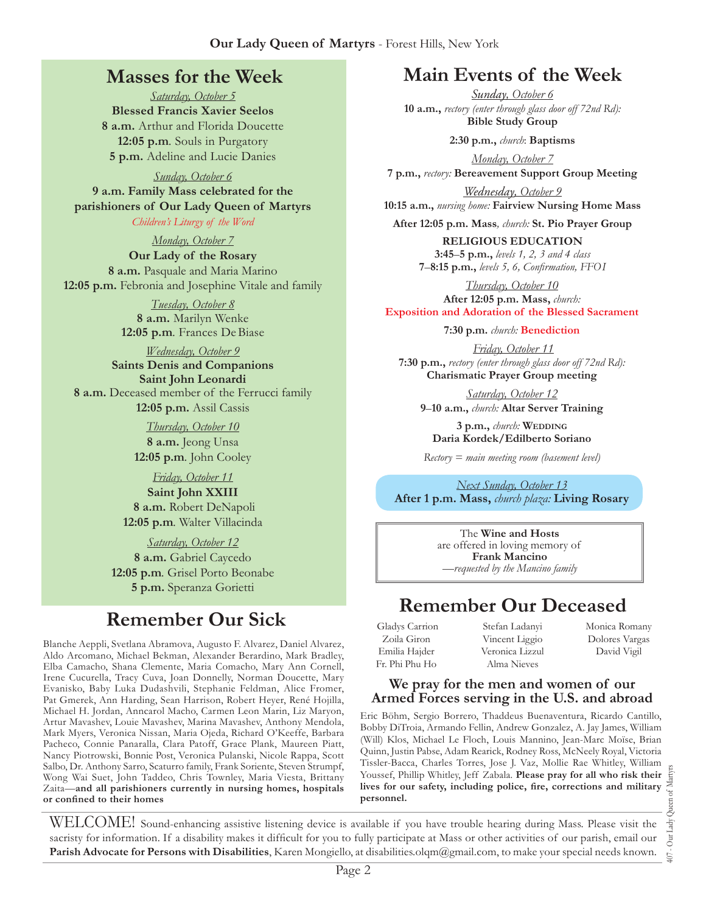### **Masses for the Week**

*Saturday, October 5* **Blessed Francis Xavier Seelos 8 a.m.** Arthur and Florida Doucette **12:05 p.m***.* Souls in Purgatory **5 p.m.** Adeline and Lucie Danies

*Sunday, October 6*

**9 a.m. Family Mass celebrated for the parishioners of Our Lady Queen of Martyrs**

*Children's Liturgy of the Word* 

*Monday, October 7* **Our Lady of the Rosary 8 a.m.** Pasquale and Maria Marino **12:05 p.m.** Febronia and Josephine Vitale and family

> *Tuesday, October 8* **8 a.m.** Marilyn Wenke **12:05 p.m***.* Frances DeBiase

*Wednesday, October 9* **Saints Denis and Companions Saint John Leonardi 8 a.m.** Deceased member of the Ferrucci family **12:05 p.m.** Assil Cassis

> *Thursday, October 10* **8 a.m.** Jeong Unsa **12:05 p.m***.* John Cooley

*Friday, October 11* **Saint John XXIII 8 a.m.** Robert DeNapoli **12:05 p.m***.* Walter Villacinda

*Saturday, October 12* **8 a.m.** Gabriel Caycedo **12:05 p.m***.* Grisel Porto Beonabe **5 p.m.** Speranza Gorietti

# **Remember Our Sick**

Blanche Aeppli, Svetlana Abramova, Augusto F. Alvarez, Daniel Alvarez, Aldo Arcomano, Michael Bekman, Alexander Berardino, Mark Bradley, Elba Camacho, Shana Clemente, Maria Comacho, Mary Ann Cornell, Irene Cucurella, Tracy Cuva, Joan Donnelly, Norman Doucette, Mary Evanisko, Baby Luka Dudashvili, Stephanie Feldman, Alice Fromer, Pat Gmerek, Ann Harding, Sean Harrison, Robert Heyer, René Hojilla, Michael H. Jordan, Anncarol Macho, Carmen Leon Marin, Liz Maryon, Artur Mavashev, Louie Mavashev, Marina Mavashev, Anthony Mendola, Mark Myers, Veronica Nissan, Maria Ojeda, Richard O'Keeffe, Barbara Pacheco, Connie Panaralla, Clara Patoff, Grace Plank, Maureen Piatt, Nancy Piotrowski, Bonnie Post, Veronica Pulanski, Nicole Rappa, Scott Salbo, Dr. Anthony Sarro, Scaturro family, Frank Soriente, Steven Strumpf, Wong Wai Suet, John Taddeo, Chris Townley, Maria Viesta, Brittany Zaita—**and all parishioners currently in nursing homes, hospitals or confined to their homes**

# **Main Events of the Week**

*Sunday, October 6* **10 a.m.,** *rectory (enter through glass door off 72nd Rd):* **Bible Study Group**

**2:30 p.m.,** *church*: **Baptisms** 

*Monday, October 7* **7 p.m.,** *rectory:* **Bereavement Support Group Meeting**

*Wednesday, October 9* **10:15 a.m.,** *nursing home:* **Fairview Nursing Home Mass**

**After 12:05 p.m. Mass***, church:* **St. Pio Prayer Group**

**RELIGIOUS EDUCATION 3:45**–**5 p.m.,** *levels 1, 2, 3 and 4 class* **7**–**8:15 p.m.,** *levels 5, 6, Confirmation, FFO  I*

*Thursday, October 10* **After 12:05 p.m. Mass,** *church:*  **Exposition and Adoration of the Blessed Sacrament**

**7:30 p.m.** *church:* **Benediction**

*Friday, October 11* **7:30 p.m.,** *rectory (enter through glass door off 72nd Rd):* **Charismatic Prayer Group meeting**

*Saturday, October 12* **9**–**10 a.m.,** *church:* **Altar Server Training**

**3 p.m.,** *church:* **Wedding Daria Kordek/Edilberto Soriano**

*Rectory = main meeting room (basement level)*

*Next Sunday, October 13* **After 1 p.m. Mass,** *church plaza:* **Living Rosary**

> The **Wine and Hosts** are offered in loving memory of **Frank Mancino** *—requested by the Mancino family*

# **Remember Our Deceased**

 Gladys Carrion Zoila Giron Emilia Hajder Fr. Phi Phu Ho

Stefan Ladanyi Vincent Liggio Veronica Lizzul Alma Nieves

Monica Romany Dolores Vargas David Vigil

#### **We pray for the men and women of our Armed Forces serving in the U.S. and abroad**

Eric Böhm, Sergio Borrero, Thaddeus Buenaventura, Ricardo Cantillo, Bobby DiTroia, Armando Fellin, Andrew Gonzalez, A. Jay James, William (Will) Klos, Michael Le Floch, Louis Mannino, Jean-Marc Moïse, Brian Quinn, Justin Pabse, Adam Rearick, Rodney Ross, McNeely Royal, Victoria Tissler-Bacca, Charles Torres, Jose J. Vaz, Mollie Rae Whitley, William Youssef, Phillip Whitley, Jeff Zabala. **Please pray for all who risk their lives for our safety, including police, fire, corrections and military personnel.**

407 - Our Lady Queen of Martyrs Our Lady  $\overline{407}$  .

WELCOME! Sound-enhancing assistive listening device is available if you have trouble hearing during Mass. Please visit the sacristy for information. If a disability makes it difficult for you to fully participate at Mass or other activities of our parish, email our **Parish Advocate for Persons with Disabilities**, Karen Mongiello, at disabilities.olqm@gmail.com, to make your special needs known.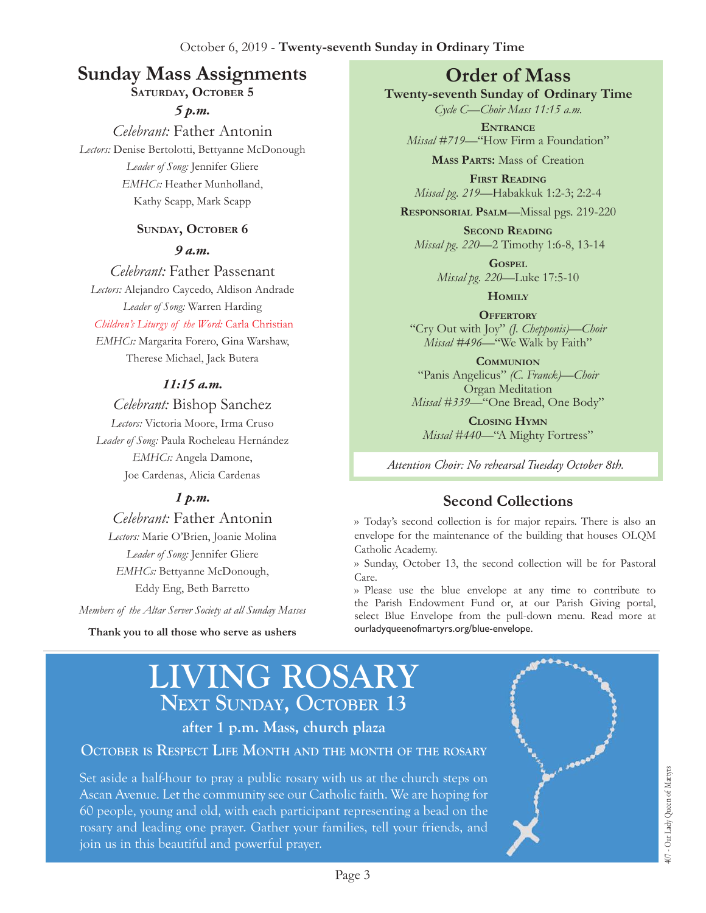# **Sunday Mass Assignments Order of Mass**

SATURDAY, OCTOBER 5

*5 p.m. Celebrant:* Father Antonin *Lectors:* Denise Bertolotti, Bettyanne McDonough *Leader of Song:* Jennifer Gliere *EMHCs:* Heather Munholland, Kathy Scapp, Mark Scapp

#### SUNDAY, OCTOBER **6**

#### *9 a.m.*

*Celebrant:* Father Passenant

*Lectors:* Alejandro Caycedo, Aldison Andrade *Leader of Song:* Warren Harding

#### *Children's Liturgy of the Word:* Carla Christian

*EMHCs:* Margarita Forero, Gina Warshaw, Therese Michael, Jack Butera

#### *11:15 a.m.*

#### *Celebrant:* Bishop Sanchez

*Lectors:* Victoria Moore, Irma Cruso *Leader of Song:* Paula Rocheleau Hernández *EMHCs:* Angela Damone, Joe Cardenas, Alicia Cardenas

#### *1 p.m.*

*Celebrant:* Father Antonin

*Lectors:* Marie O'Brien, Joanie Molina *Leader of Song:* Jennifer Gliere *EMHCs:* Bettyanne McDonough, Eddy Eng, Beth Barretto

*Members of the Altar Server Society at all Sunday Masses*

**Thank you to all those who serve as ushers**

**Twenty-seventh Sunday of Ordinary Time**

*Cycle C—Choir Mass 11:15 a.m.* **Entrance**

*Missal #719—*"How Firm a Foundation"

**Mass Parts:** Mass of Creation

**First Reading** *Missal pg. 219—*Habakkuk 1:2-3; 2:2-4

**Responsorial Psalm**—Missal pgs. 219-220

**Second Reading** *Missal pg. 220*—2 Timothy 1:6-8, 13-14

> **Gospel** *Missal pg. 220—*Luke 17:5-10

> > **Homily**

**Offertory** "Cry Out with Joy" *(J. Chepponis)—Choir Missal #496—*"We Walk by Faith"

**Communion** "Panis Angelicus" *(C. Franck)—Choir*  Organ Meditation *Missal #339—*"One Bread, One Body"

**Closing Hymn** *Missal #440—*"A Mighty Fortress"

*Attention Choir: No rehearsal Tuesday October 8th.* 

### **Second Collections**

›› Today's second collection is for major repairs. There is also an envelope for the maintenance of the building that houses OLQM Catholic Academy.

›› Sunday, October 13, the second collection will be for Pastoral Care.

›› Please use the blue envelope at any time to contribute to the Parish Endowment Fund or, at our Parish Giving portal, select Blue Envelope from the pull-down menu. Read more at ourladyqueenofmartyrs.org/blue-envelope.

# **LIVING ROSARY** NEXT SUNDAY, OCTOBER 13

**after 1 p.m. Mass, church plaza**

#### **October is Respect Life Month and the month of the rosary**

Set aside a half-hour to pray a public rosary with us at the church steps on Ascan Avenue. Let the community see our Catholic faith. We are hoping for 60 people, young and old, with each participant representing a bead on the rosary and leading one prayer. Gather your families, tell your friends, and join us in this beautiful and powerful prayer.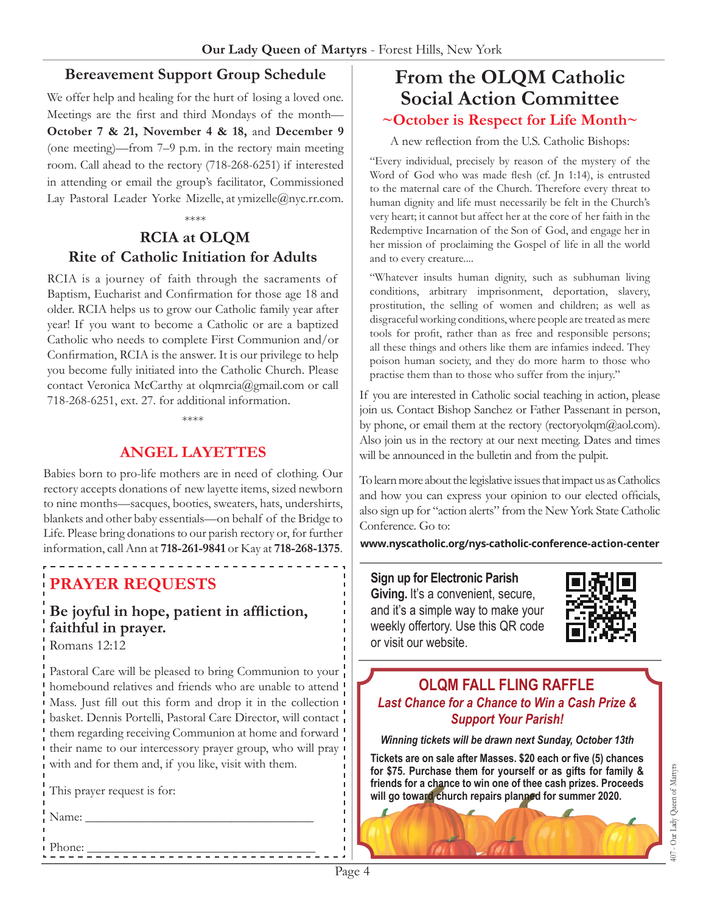#### **Bereavement Support Group Schedule**

We offer help and healing for the hurt of losing a loved one. Meetings are the first and third Mondays of the month— **October 7 & 21, November 4 & 18,** and **December 9** (one meeting)—from 7–9 p.m. in the rectory main meeting room. Call ahead to the rectory (718-268-6251) if interested in attending or email the group's facilitator, Commissioned Lay Pastoral Leader Yorke Mizelle, at ymizelle@nyc.rr.com.

\*\*\*\*

### **RCIA at OLQM Rite of Catholic Initiation for Adults**

RCIA is a journey of faith through the sacraments of Baptism, Eucharist and Confirmation for those age 18 and older. RCIA helps us to grow our Catholic family year after year! If you want to become a Catholic or are a baptized Catholic who needs to complete First Communion and/or Confirmation, RCIA is the answer. It is our privilege to help you become fully initiated into the Catholic Church. Please contact Veronica McCarthy at olqmrcia@gmail.com or call 718-268-6251, ext. 27. for additional information.

\*\*\*\*

### **ANGEL LAYETTES**

Babies born to pro-life mothers are in need of clothing. Our rectory accepts donations of new layette items, sized newborn to nine months—sacques, booties, sweaters, hats, undershirts, blankets and other baby essentials—on behalf of the Bridge to Life. Please bring donations to our parish rectory or, for further information, call Ann at **718-261-9841** or Kay at **718-268-1375**.

# **PRAYER REQUESTS**

# **Be joyful in hope, patient in affliction, faithful in prayer.**

Romans 12:12

Pastoral Care will be pleased to bring Communion to your homebound relatives and friends who are unable to attend Mass. Just fill out this form and drop it in the collection basket. Dennis Portelli, Pastoral Care Director, will contact them regarding receiving Communion at home and forward their name to our intercessory prayer group, who will pray with and for them and, if you like, visit with them.

Phone: \_\_\_\_\_\_\_\_\_\_\_\_\_\_\_\_\_\_\_\_\_\_\_\_\_\_\_\_\_\_\_\_\_\_\_\_

This prayer request is for:

 $Name: \_$ 

### **From the OLQM Catholic Social Action Committee ~October is Respect for Life Month~**

A new reflection from the U.S. Catholic Bishops:

"Every individual, precisely by reason of the mystery of the Word of God who was made flesh (cf. Jn 1:14), is entrusted to the maternal care of the Church. Therefore every threat to human dignity and life must necessarily be felt in the Church's very heart; it cannot but affect her at the core of her faith in the Redemptive Incarnation of the Son of God, and engage her in her mission of proclaiming the Gospel of life in all the world and to every creature....

"Whatever insults human dignity, such as subhuman living conditions, arbitrary imprisonment, deportation, slavery, prostitution, the selling of women and children; as well as disgraceful working conditions, where people are treated as mere tools for profit, rather than as free and responsible persons; all these things and others like them are infamies indeed. They poison human society, and they do more harm to those who practise them than to those who suffer from the injury."

If you are interested in Catholic social teaching in action, please join us. Contact Bishop Sanchez or Father Passenant in person, by phone, or email them at the rectory (rectoryolqm $@$ aol.com). Also join us in the rectory at our next meeting. Dates and times will be announced in the bulletin and from the pulpit.

To learn more about the legislative issues that impact us as Catholics and how you can express your opinion to our elected officials, also sign up for "action alerts" from the New York State Catholic Conference. Go to:

**www.nyscatholic.org/nys-catholic-conference-action-center**

**Sign up for Electronic Parish**  Giving. It's a convenient, secure, and it's a simple way to make your weekly offertory. Use this QR code or visit our website.



#### **OLQM FALL FLING RAFFLE** *Last Chance for a Chance to Win a Cash Prize & Support Your Parish!*

*Winning tickets will be drawn next Sunday, October 13th* 

**Tickets are on sale after Masses. \$20 each or five (5) chances for \$75. Purchase them for yourself or as gifts for family & friends for a chance to win one of thee cash prizes. Proceeds will go toward church repairs planned for summer 2020.**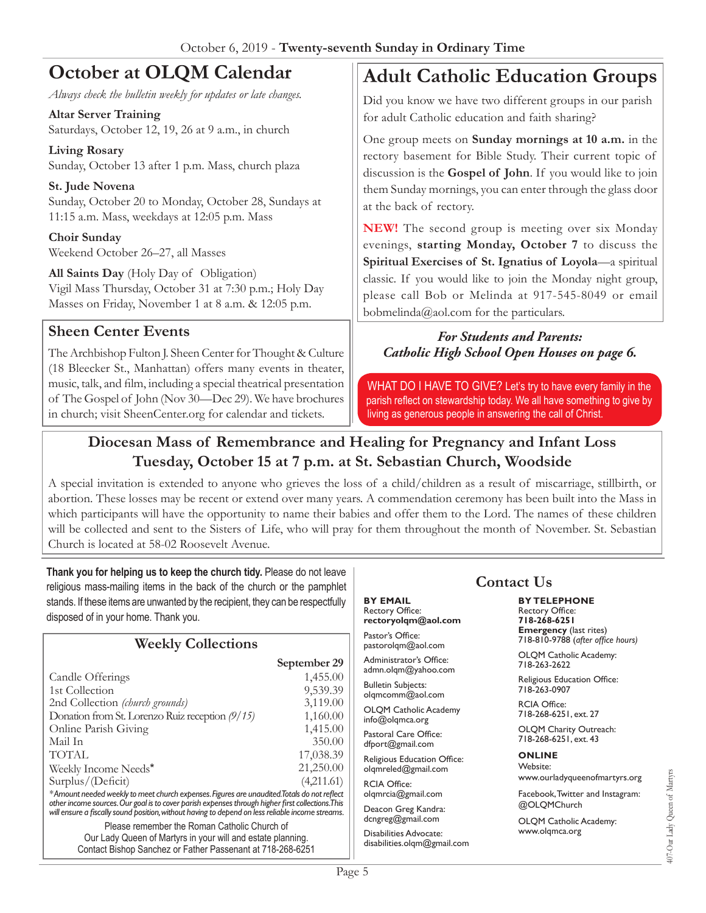# **October at OLQM Calendar**

*Always check the bulletin weekly for updates or late changes.*

**Altar Server Training** Saturdays, October 12, 19, 26 at 9 a.m., in church

**Living Rosary** Sunday, October 13 after 1 p.m. Mass, church plaza

**St. Jude Novena**  Sunday, October 20 to Monday, October 28, Sundays at 11:15 a.m. Mass, weekdays at 12:05 p.m. Mass

**Choir Sunday** Weekend October 26–27, all Masses

**All Saints Day** (Holy Day of Obligation) Vigil Mass Thursday, October 31 at 7:30 p.m.; Holy Day Masses on Friday, November 1 at 8 a.m. & 12:05 p.m.

### **Sheen Center Events**

The Archbishop Fulton J. Sheen Center for Thought & Culture (18 Bleecker St., Manhattan) offers many events in theater, music, talk, and film, including a special theatrical presentation of The Gospel of John (Nov 30—Dec 29). We have brochures in church; visit SheenCenter.org for calendar and tickets.

# **Adult Catholic Education Groups**

Did you know we have two different groups in our parish for adult Catholic education and faith sharing?

One group meets on **Sunday mornings at 10 a.m.** in the rectory basement for Bible Study. Their current topic of discussion is the **Gospel of John**. If you would like to join them Sunday mornings, you can enter through the glass door at the back of rectory.

**NEW!** The second group is meeting over six Monday evenings, **starting Monday, October 7** to discuss the **Spiritual Exercises of St. Ignatius of Loyola**—a spiritual classic. If you would like to join the Monday night group, please call Bob or Melinda at 917-545-8049 or email bobmelinda@aol.com for the particulars.

#### *For Students and Parents: Catholic High School Open Houses on page 6.*

WHAT DO I HAVE TO GIVE? Let's try to have every family in the parish reflect on stewardship today. We all have something to give by living as generous people in answering the call of Christ.

### **Diocesan Mass of Remembrance and Healing for Pregnancy and Infant Loss Tuesday, October 15 at 7 p.m. at St. Sebastian Church, Woodside**

A special invitation is extended to anyone who grieves the loss of a child/children as a result of miscarriage, stillbirth, or abortion. These losses may be recent or extend over many years. A commendation ceremony has been built into the Mass in which participants will have the opportunity to name their babies and offer them to the Lord. The names of these children will be collected and sent to the Sisters of Life, who will pray for them throughout the month of November. St. Sebastian Church is located at 58-02 Roosevelt Avenue.

**Thank you for helping us to keep the church tidy.** Please do not leave religious mass-mailing items in the back of the church or the pamphlet stands. If these items are unwanted by the recipient, they can be respectfully disposed of in your home. Thank you.

| <b>Weekly Collections</b>                                                                                                                                                                                                                                                                            |              |
|------------------------------------------------------------------------------------------------------------------------------------------------------------------------------------------------------------------------------------------------------------------------------------------------------|--------------|
|                                                                                                                                                                                                                                                                                                      | September 29 |
| Candle Offerings                                                                                                                                                                                                                                                                                     | 1,455.00     |
| 1st Collection                                                                                                                                                                                                                                                                                       | 9,539.39     |
| 2nd Collection <i>(church grounds)</i>                                                                                                                                                                                                                                                               | 3,119.00     |
| Donation from St. Lorenzo Ruiz reception $(9/15)$                                                                                                                                                                                                                                                    | 1,160.00     |
| Online Parish Giving                                                                                                                                                                                                                                                                                 | 1,415.00     |
| Mail In                                                                                                                                                                                                                                                                                              | 350.00       |
| <b>TOTAL</b>                                                                                                                                                                                                                                                                                         | 17,038.39    |
| Weekly Income Needs*                                                                                                                                                                                                                                                                                 | 21,250.00    |
| Surplus/(Deficit)                                                                                                                                                                                                                                                                                    | (4,211.61)   |
| *Amount needed weekly to meet church expenses. Figures are unaudited. Totals do not reflect<br>other income sources. Our goal is to cover parish expenses through higher first collections. This<br>will ensure a fiscally sound position, without having to depend on less reliable income streams. |              |

Please remember the Roman Catholic Church of Our Lady Queen of Martyrs in your will and estate planning. Contact Bishop Sanchez or Father Passenant at 718-268-6251 **BY EMAIL** Rectory Office: **rectoryolqm@aol.com**

Pastor's Office: pastorolqm@aol.com Administrator's Office:

admn.olqm@yahoo.com

Bulletin Subjects: olqmcomm@aol.com

OLQM Catholic Academy info@olqmca.org

Pastoral Care Office: dfport@gmail.com

Religious Education Office: olqmreled@gmail.com

RCIA Office: olqmrcia@gmail.com

Deacon Greg Kandra: dcngreg@gmail.com

Disabilities Advocate: disabilities.olqm@gmail.com

# **Contact Us**

**BY TELEPHONE** Rectory Office: **718-268-6251 Emergency** (last rites) 718-810-9788 (*after office hours)*

OLQM Catholic Academy: 718-263-2622

Religious Education Office: 718-263-0907

RCIA Office: 718-268-6251, ext. 27

OLQM Charity Outreach: 718-268-6251, ext. 43

#### **ONLINE**

Website: www.ourladyqueenofmartyrs.org

Facebook, Twitter and Instagram: @OLQMChurch

OLQM Catholic Academy: www.olqmca.org